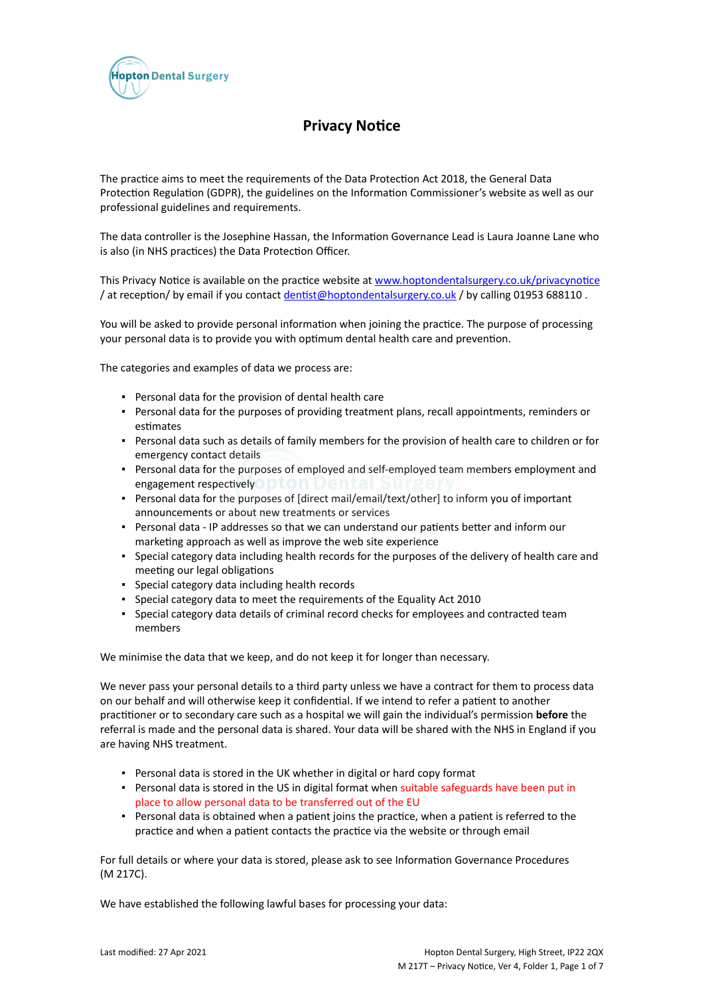

# **Privacy Notice**

The practice aims to meet the requirements of the Data Protection Act 2018, the General Data Protection Regulation (GDPR), the guidelines on the Information Commissioner's website as well as our professional guidelines and requirements.

The data controller is the Josephine Hassan, the Information Governance Lead is Laura Joanne Lane who is also (in NHS practices) the Data Protection Officer.

This Privacy Notice is available on the practice website at [www.hoptondentalsurgery.co.uk/privacynotice](https://icomply.agiliosoftware.com/api/export/render/e86ed213-f419-4552-8e59-5b6ed9f7e2b5/www.practice.com/privacynotice) / at reception/ by email if you contact [dentist@hoptondentalsurgery.co.uk](mailto:dentist@hoptondentalsurgery.co.uk) / by calling 01953 688110 .

You will be asked to provide personal information when joining the practice. The purpose of processing your personal data is to provide you with optimum dental health care and prevention.

The categories and examples of data we process are:

- Personal data for the provision of dental health care
- Personal data for the purposes of providing treatment plans, recall appointments, reminders or estimates
- Personal data such as details of family members for the provision of health care to children or for emergency contact details
- Personal data for the purposes of employed and self-employed team members employment and engagement respectively **DOM** Del
- Personal data for the purposes of [direct mail/email/text/other] to inform you of important announcements or about new treatments or services
- Personal data IP addresses so that we can understand our patients better and inform our marketing approach as well as improve the web site experience
- Special category data including health records for the purposes of the delivery of health care and meeting our legal obligations
- Special category data including health records
- Special category data to meet the requirements of the Equality Act 2010
- Special category data details of criminal record checks for employees and contracted team members

We minimise the data that we keep, and do not keep it for longer than necessary.

We never pass your personal details to a third party unless we have a contract for them to process data on our behalf and will otherwise keep it confidential. If we intend to refer a patient to another practitioner or to secondary care such as a hospital we will gain the individual's permission **before** the referral is made and the personal data is shared. Your data will be shared with the NHS in England if you are having NHS treatment.

- Personal data is stored in the UK whether in digital or hard copy format
- Personal data is stored in the US in digital format when suitable safeguards have been put in place to allow personal data to be transferred out of the EU
- Personal data is obtained when a patient joins the practice, when a patient is referred to the practice and when a patient contacts the practice via the website or through email

For full details or where your data is stored, please ask to see Information Governance Procedures (M 217C).

We have established the following lawful bases for processing your data: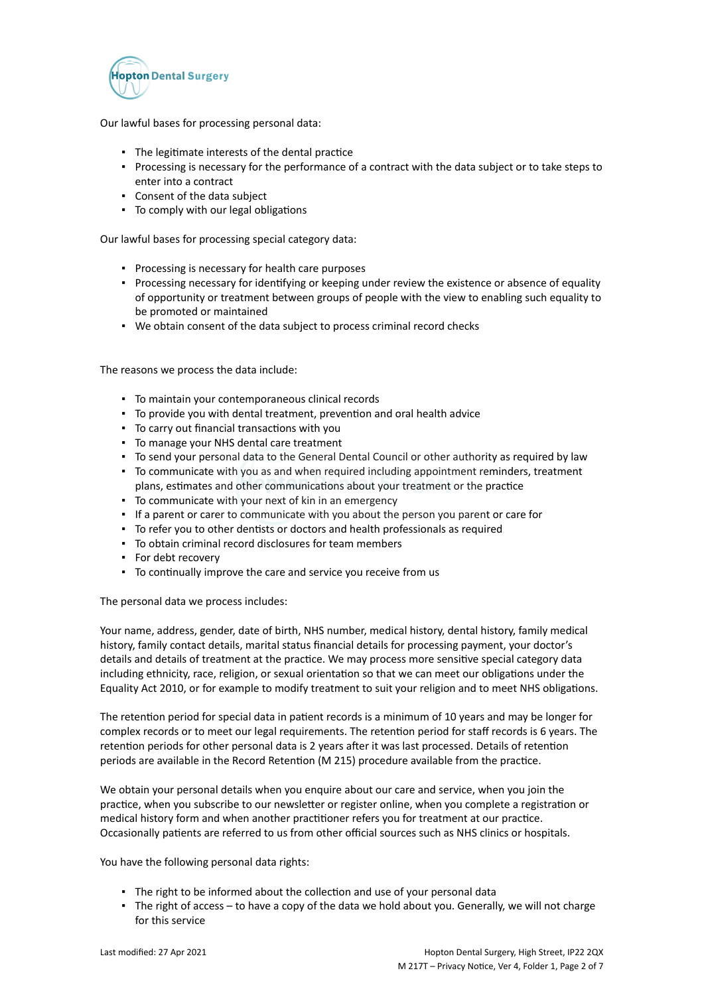

Our lawful bases for processing personal data:

- The legitimate interests of the dental practice
- Processing is necessary for the performance of a contract with the data subject or to take steps to enter into a contract
- Consent of the data subject
- To comply with our legal obligations

Our lawful bases for processing special category data:

- Processing is necessary for health care purposes
- Processing necessary for identifying or keeping under review the existence or absence of equality of opportunity or treatment between groups of people with the view to enabling such equality to be promoted or maintained
- We obtain consent of the data subject to process criminal record checks

The reasons we process the data include:

- To maintain your contemporaneous clinical records
- To provide you with dental treatment, prevention and oral health advice
- To carry out financial transactions with you
- To manage your NHS dental care treatment
- To send your personal data to the General Dental Council or other authority as required by law
- To communicate with you as and when required including appointment reminders, treatment plans, estimates and other communications about your treatment or the practice
- To communicate with your next of kin in an emergency
- If a parent or carer to communicate with you about the person you parent or care for
- To refer you to other dentists or doctors and health professionals as required
- To obtain criminal record disclosures for team members
- For debt recovery
- To continually improve the care and service you receive from us

The personal data we process includes:

Your name, address, gender, date of birth, NHS number, medical history, dental history, family medical history, family contact details, marital status financial details for processing payment, your doctor's details and details of treatment at the practice. We may process more sensitive special category data including ethnicity, race, religion, or sexual orientation so that we can meet our obligations under the Equality Act 2010, or for example to modify treatment to suit your religion and to meet NHS obligations.

The retention period for special data in patient records is a minimum of 10 years and may be longer for complex records or to meet our legal requirements. The retention period for staff records is 6 years. The retention periods for other personal data is 2 years after it was last processed. Details of retention periods are available in the Record Retention (M 215) procedure available from the practice.

We obtain your personal details when you enquire about our care and service, when you join the practice, when you subscribe to our newsletter or register online, when you complete a registration or medical history form and when another practitioner refers you for treatment at our practice. Occasionally patients are referred to us from other official sources such as NHS clinics or hospitals.

You have the following personal data rights:

- The right to be informed about the collection and use of your personal data
- The right of access to have a copy of the data we hold about you. Generally, we will not charge for this service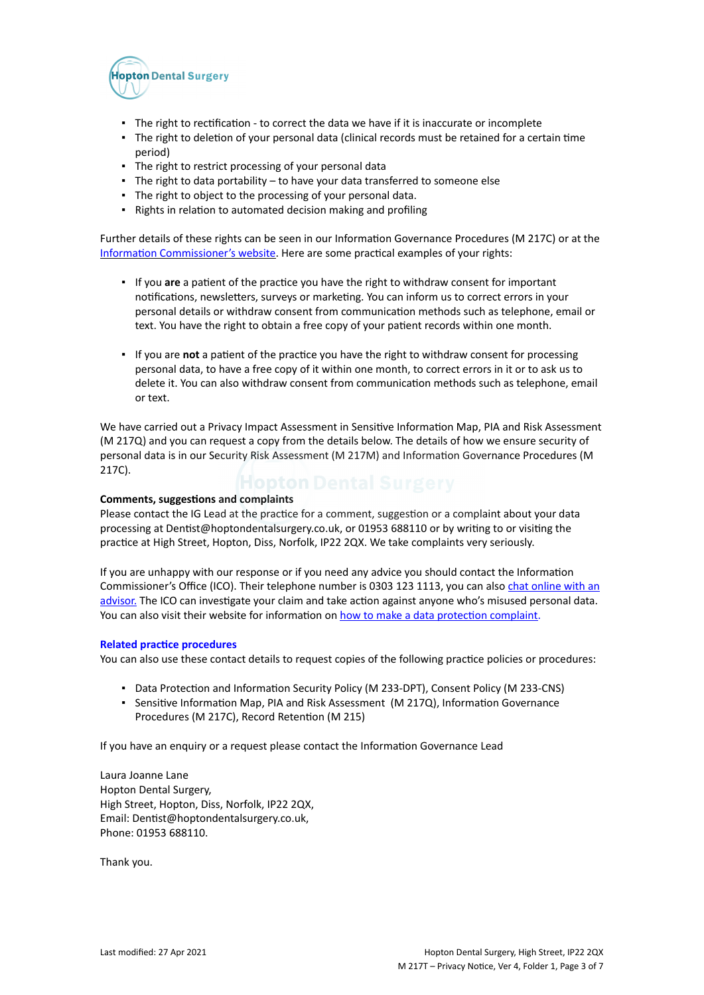

- The right to rectification to correct the data we have if it is inaccurate or incomplete
- The right to deletion of your personal data (clinical records must be retained for a certain time period)
- **·** The right to restrict processing of your personal data
- The right to data portability to have your data transferred to someone else
- The right to object to the processing of your personal data.
- Rights in relation to automated decision making and profiling

Further details of these rights can be seen in our Information Governance Procedures (M 217C) or at the [Information Commissioner's website](https://ico.org.uk/for-organisations/guide-to-the-general-data-protection-regulation-gdpr/individual-rights/). Here are some practical examples of your rights:

- If you **are** a patient of the practice you have the right to withdraw consent for important notifications, newsletters, surveys or marketing. You can inform us to correct errors in your personal details or withdraw consent from communication methods such as telephone, email or text. You have the right to obtain a free copy of your patient records within one month.
- If you are **not** a patient of the practice you have the right to withdraw consent for processing personal data, to have a free copy of it within one month, to correct errors in it or to ask us to delete it. You can also withdraw consent from communication methods such as telephone, email or text.

We have carried out a Privacy Impact Assessment in Sensitive Information Map, PIA and Risk Assessment (M 217Q) and you can request a copy from the details below. The details of how we ensure security of personal data is in our Security Risk Assessment (M 217M) and Information Governance Procedures (M 217C).

#### **Comments, suggestions and complaints**

Please contact the IG Lead at the practice for a comment, suggestion or a complaint about your data processing at Dentist@hoptondentalsurgery.co.uk, or 01953 688110 or by writing to or visiting the practice at High Street, Hopton, Diss, Norfolk, IP22 2QX. We take complaints very seriously.

If you are unhappy with our response or if you need any advice you should contact the Information Commissioner's Office (ICO). Their telephone number is 0303 123 1113, you can also [chat online with an](https://ico.org.uk/global/contact-us/live-chat/) [advisor.](https://ico.org.uk/global/contact-us/live-chat/) The ICO can investigate your claim and take action against anyone who's misused personal data. You can also visit their website for information on [how to make a data protection complaint](http://www.ico.org.uk/complaints).

#### **Related practice procedures**

You can also use these contact details to request copies of the following practice policies or procedures:

- Data Protection and Information Security Policy (M 233-DPT), Consent Policy (M 233-CNS)
- **Sensitive Information Map, PIA and Risk Assessment (M 217Q), Information Governance** Procedures (M 217C), Record Retention (M 215)

If you have an enquiry or a request please contact the Information Governance Lead

Laura Joanne Lane Hopton Dental Surgery, High Street, Hopton, Diss, Norfolk, IP22 2QX, Email: Dentist@hoptondentalsurgery.co.uk, Phone: 01953 688110.

Thank you.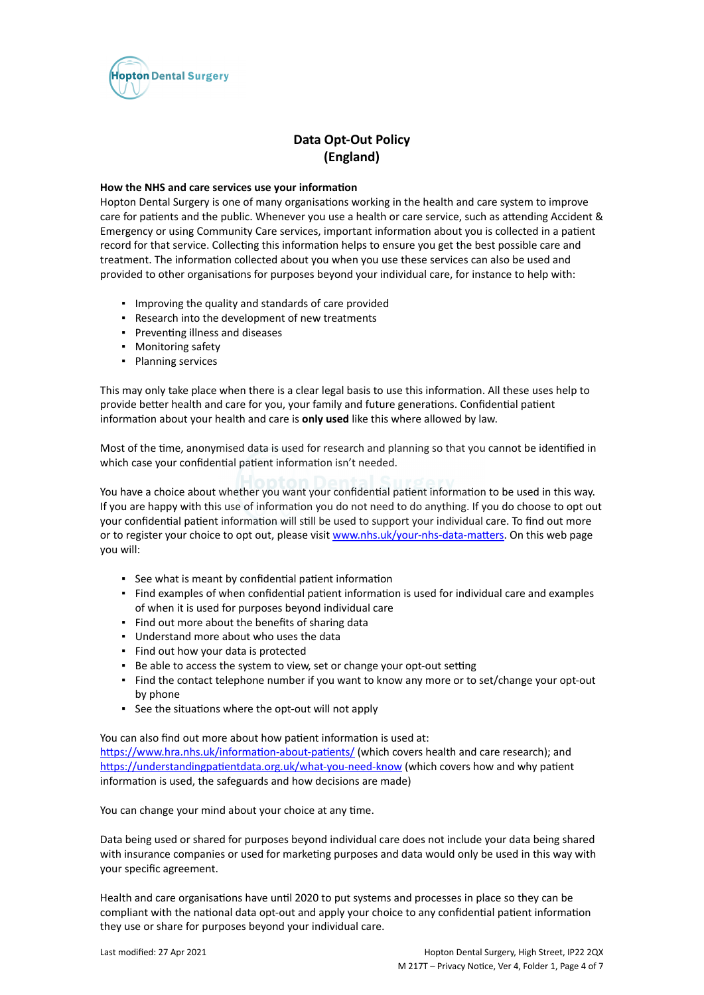

# **Data Opt-Out Policy (England)**

### **How the NHS and care services use your information**

Hopton Dental Surgery is one of many organisations working in the health and care system to improve care for patients and the public. Whenever you use a health or care service, such as attending Accident & Emergency or using Community Care services, important information about you is collected in a patient record for that service. Collecting this information helps to ensure you get the best possible care and treatment. The information collected about you when you use these services can also be used and provided to other organisations for purposes beyond your individual care, for instance to help with:

- Improving the quality and standards of care provided
- Research into the development of new treatments
- Preventing illness and diseases
- Monitoring safety
- Planning services

This may only take place when there is a clear legal basis to use this information. All these uses help to provide better health and care for you, your family and future generations. Confidential patient information about your health and care is **only used** like this where allowed by law.

Most of the time, anonymised data is used for research and planning so that you cannot be identified in which case your confidential patient information isn't needed.

You have a choice about whether you want your confidential patient information to be used in this way. If you are happy with this use of information you do not need to do anything. If you do choose to opt out your confidential patient information will still be used to support your individual care. To find out more or to register your choice to opt out, please visit [www.nhs.uk/your-nhs-data-matters](http://www.nhs.uk/your-nhs-data-matters). On this web page you will:

- See what is meant by confidential patient information
- Find examples of when confidential patient information is used for individual care and examples of when it is used for purposes beyond individual care
- Find out more about the benefits of sharing data
- Understand more about who uses the data
- Find out how your data is protected
- Be able to access the system to view, set or change your opt-out setting
- Find the contact telephone number if you want to know any more or to set/change your opt-out by phone
- See the situations where the opt-out will not apply

You can also find out more about how patient information is used at:

[https://www.hra.nhs.uk/information-about-patients/](https://www.hra.nhs.uk/information-about-patients/%20) (which covers health and care research); and <https://understandingpatientdata.org.uk/what-you-need-know> (which covers how and why patient information is used, the safeguards and how decisions are made)

You can change your mind about your choice at any time.

Data being used or shared for purposes beyond individual care does not include your data being shared with insurance companies or used for marketing purposes and data would only be used in this way with your specific agreement.

Health and care organisations have until 2020 to put systems and processes in place so they can be compliant with the national data opt-out and apply your choice to any confidential patient information they use or share for purposes beyond your individual care.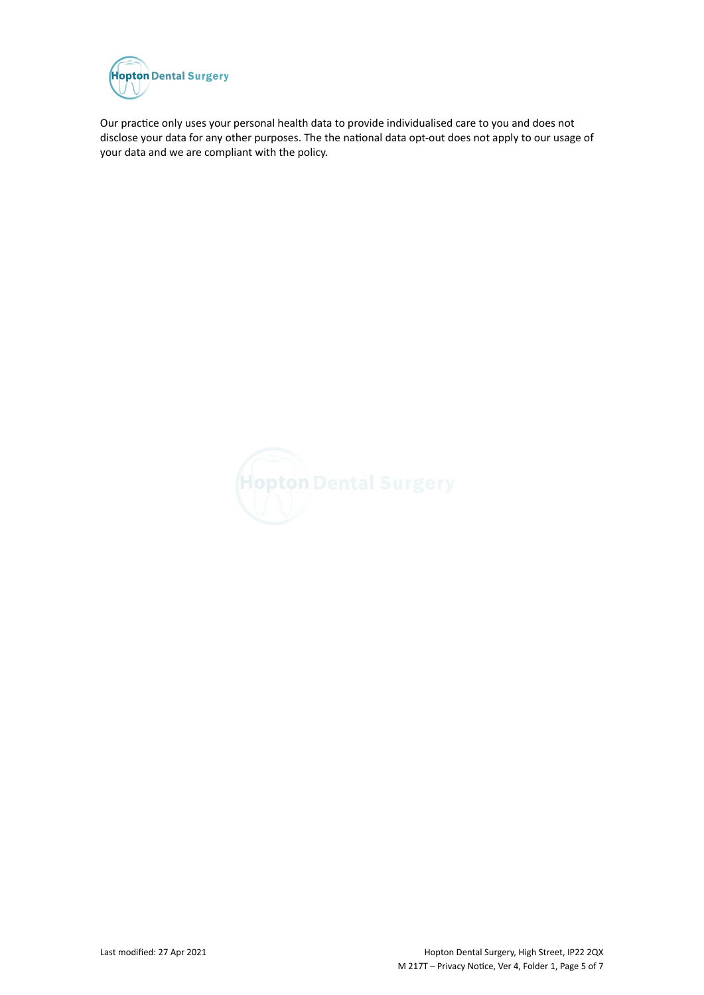

Our practice only uses your personal health data to provide individualised care to you and does not disclose your data for any other purposes. The the national data opt-out does not apply to our usage of your data and we are compliant with the policy.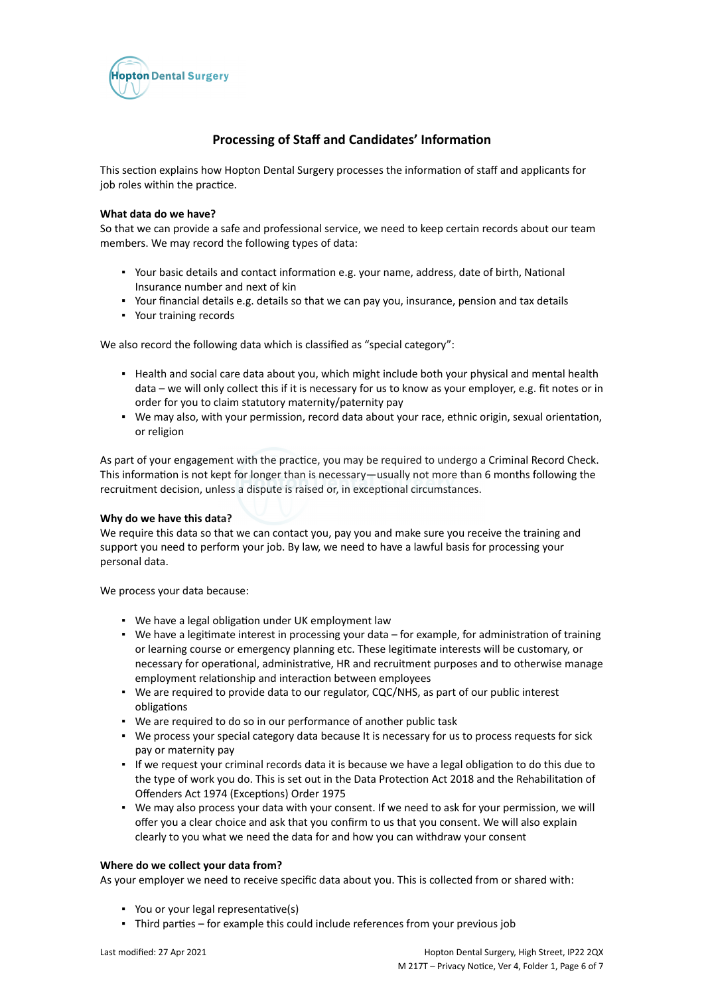

# **Processing of Staff and Candidates' Information**

This section explains how Hopton Dental Surgery processes the information of staff and applicants for job roles within the practice.

### **What data do we have?**

So that we can provide a safe and professional service, we need to keep certain records about our team members. We may record the following types of data:

- Your basic details and contact information e.g. your name, address, date of birth, National Insurance number and next of kin
- Your financial details e.g. details so that we can pay you, insurance, pension and tax details
- Your training records

We also record the following data which is classified as "special category":

- Health and social care data about you, which might include both your physical and mental health data – we will only collect this if it is necessary for us to know as your employer, e.g. fit notes or in order for you to claim statutory maternity/paternity pay
- We may also, with your permission, record data about your race, ethnic origin, sexual orientation, or religion

As part of your engagement with the practice, you may be required to undergo a Criminal Record Check. This information is not kept for longer than is necessary—usually not more than 6 months following the recruitment decision, unless a dispute is raised or, in exceptional circumstances.

# **Why do we have this data?**

We require this data so that we can contact you, pay you and make sure you receive the training and support you need to perform your job. By law, we need to have a lawful basis for processing your personal data.

We process your data because:

- We have a legal obligation under UK employment law
- We have a legitimate interest in processing your data for example, for administration of training or learning course or emergency planning etc. These legitimate interests will be customary, or necessary for operational, administrative, HR and recruitment purposes and to otherwise manage employment relationship and interaction between employees
- We are required to provide data to our regulator, CQC/NHS, as part of our public interest obligations
- We are required to do so in our performance of another public task
- We process your special category data because It is necessary for us to process requests for sick pay or maternity pay
- If we request your criminal records data it is because we have a legal obligation to do this due to the type of work you do. This is set out in the Data Protection Act 2018 and the Rehabilitation of Offenders Act 1974 (Exceptions) Order 1975
- We may also process your data with your consent. If we need to ask for your permission, we will offer you a clear choice and ask that you confirm to us that you consent. We will also explain clearly to you what we need the data for and how you can withdraw your consent

# **Where do we collect your data from?**

As your employer we need to receive specific data about you. This is collected from or shared with:

- You or your legal representative(s)
- Third parties for example this could include references from your previous job